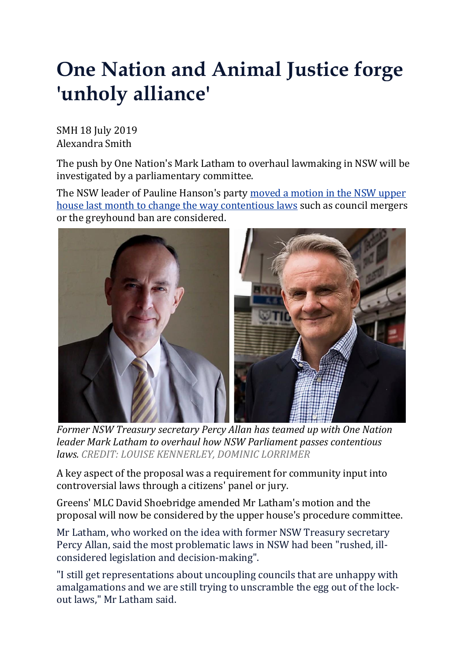## **One Nation and Animal Justice forge 'unholy alliance'**

SMH 18 July 2019 Alexandra Smith

The push by One Nation's Mark Latham to overhaul lawmaking in NSW will be investigated by a parliamentary committee.

The NSW leader of Pauline Hanson's party moved a [motion](https://www.smh.com.au/politics/nsw/half-baked-policies-push-for-public-input-on-contentious-nsw-laws-20190527-p51rm3.html) in the NSW upper house last month to change the way [contentious](https://www.smh.com.au/politics/nsw/half-baked-policies-push-for-public-input-on-contentious-nsw-laws-20190527-p51rm3.html) laws such as council mergers or the greyhound ban are considered.



*Former NSW Treasury secretary Percy Allan has teamed up with One Nation leader Mark Latham to overhaul how NSW Parliament passes contentious laws. CREDIT: LOUISE KENNERLEY, DOMINIC LORRIMER*

A key aspect of the proposal was a requirement for community input into controversial laws through a citizens' panel or jury.

Greens' MLC David Shoebridge amended Mr Latham's motion and the proposal will now be considered by the upper house's procedure committee.

Mr Latham, who worked on the idea with former NSW Treasury secretary Percy Allan, said the most problematic laws in NSW had been "rushed, illconsidered legislation and decision-making".

"I still get representations about uncoupling councils that are unhappy with amalgamations and we are still trying to unscramble the egg out of the lockout laws," Mr Latham said.